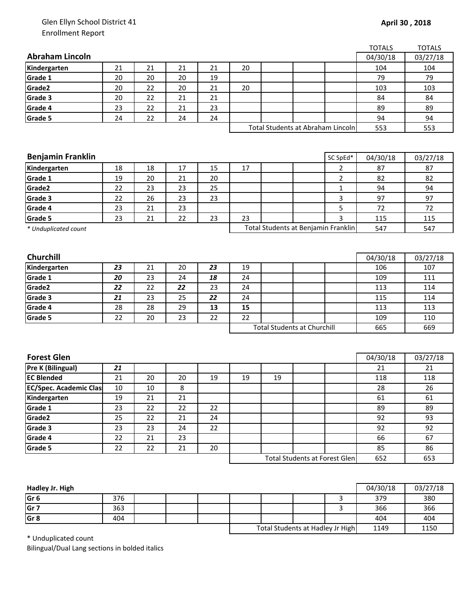## Glen Ellyn School District 41 Enrollment Report

|                               |        |        |    |    |                                      |    |                                     |                | <b>TOTALS</b> | <b>TOTALS</b> |
|-------------------------------|--------|--------|----|----|--------------------------------------|----|-------------------------------------|----------------|---------------|---------------|
| <b>Abraham Lincoln</b>        |        |        |    |    |                                      |    |                                     |                | 04/30/18      | 03/27/18      |
| Kindergarten                  | 21     | 21     | 21 | 21 | 20                                   |    |                                     |                | 104           | 104           |
| Grade 1                       | 20     | 20     | 20 | 19 |                                      |    |                                     |                | 79            | 79            |
| Grade2                        | 20     | 22     | 20 | 21 | 20                                   |    |                                     |                | 103           | 103           |
| Grade 3                       | 20     | 22     | 21 | 21 |                                      |    |                                     |                | 84            | 84            |
| Grade 4                       | 23     | 22     | 21 | 23 |                                      |    |                                     |                | 89            | 89            |
| Grade 5                       | 24     | 22     | 24 | 24 |                                      |    |                                     |                | 94            | 94            |
|                               |        |        |    |    |                                      |    | Total Students at Abraham Lincoln   |                | 553           | 553           |
|                               |        |        |    |    |                                      |    |                                     |                |               |               |
|                               |        |        |    |    |                                      |    |                                     |                |               |               |
| <b>Benjamin Franklin</b>      |        |        |    |    |                                      |    |                                     | SC SpEd*       | 04/30/18      | 03/27/18      |
| Kindergarten                  | 18     | 18     | 17 | 15 | 17                                   |    |                                     | 2              | 87            | 87            |
| Grade 1                       | 19     | 20     | 21 | 20 |                                      |    |                                     | $\overline{2}$ | 82            | 82            |
| Grade2                        | 22     | 23     | 23 | 25 |                                      |    |                                     | 1              | 94            | 94            |
| Grade 3                       | 22     | 26     | 23 | 23 |                                      |    |                                     | 3              | 97            | 97            |
| Grade 4                       | 23     | 21     | 23 |    |                                      |    |                                     | 5              | 72            | 72            |
| Grade 5                       | 23     | 21     | 22 | 23 | 23                                   |    |                                     | 3              | 115           | 115           |
| * Unduplicated count          |        |        |    |    |                                      |    | Total Students at Benjamin Franklin |                | 547           | 547           |
|                               |        |        |    |    |                                      |    |                                     |                |               |               |
|                               |        |        |    |    |                                      |    |                                     |                |               |               |
| Churchill                     |        |        |    |    |                                      |    |                                     |                | 04/30/18      | 03/27/18      |
| Kindergarten                  | 23     | 21     | 20 | 23 | 19                                   |    |                                     |                | 106           | 107           |
| Grade 1                       | 20     | 23     | 24 | 18 | 24                                   |    |                                     |                | 109           | 111           |
| Grade <sub>2</sub>            | 22     | 22     | 22 | 23 | 24                                   |    |                                     |                | 113           | 114           |
| Grade 3                       | 21     | 23     | 25 | 22 | 24                                   |    |                                     |                | 115           | 114           |
| Grade 4                       | 28     | 28     | 29 | 13 | 15                                   |    |                                     |                | 113           | 113           |
| Grade 5                       | 22     | 20     | 23 | 22 | 22                                   |    |                                     |                | 109           | 110           |
|                               |        |        |    |    | <b>Total Students at Churchill</b>   |    |                                     | 665            | 669           |               |
|                               |        |        |    |    |                                      |    |                                     |                |               |               |
|                               |        |        |    |    |                                      |    |                                     |                |               |               |
| <b>Forest Glen</b>            |        |        |    |    |                                      |    |                                     |                | 04/30/18      | 03/27/18      |
| <b>Pre K (Bilingual)</b>      | 21     |        |    |    |                                      |    |                                     |                | 21            | 21            |
| <b>EC Blended</b>             | 21     | 20     | 20 | 19 | 19                                   | 19 |                                     |                | 118           | 118           |
| <b>EC/Spec. Academic Clas</b> | $10\,$ | $10\,$ | 8  |    |                                      |    |                                     |                | 28            | 26            |
| Kindergarten                  | 19     | 21     | 21 |    |                                      |    |                                     |                | 61            | 61            |
| Grade 1                       | 23     | 22     | 22 | 22 |                                      |    |                                     |                | 89            | 89            |
| Grade2                        | 25     | 22     | 21 | 24 |                                      |    |                                     |                | 92            | 93            |
| Grade 3                       | 23     | 23     | 24 | 22 |                                      |    |                                     |                | 92            | 92            |
| Grade 4                       | 22     | 21     | 23 |    |                                      |    |                                     |                | 66            | 67            |
| Grade 5                       | 22     | 22     | 21 | 20 |                                      |    |                                     |                | 85            | 86            |
|                               |        |        |    |    | <b>Total Students at Forest Glen</b> |    |                                     |                | 652           | 653           |
|                               |        |        |    |    |                                      |    |                                     |                |               |               |
|                               |        |        |    |    |                                      |    |                                     |                |               |               |

| Hadley Jr. High |     |  |                                  |  |      | 04/30/18 | 03/27/18 |
|-----------------|-----|--|----------------------------------|--|------|----------|----------|
| Gr 6            | 376 |  |                                  |  |      | 379      | 380      |
| Gr 7            | 363 |  |                                  |  |      | 366      | 366      |
| Gr 8            | 404 |  |                                  |  |      | 404      | 404      |
|                 |     |  | Total Students at Hadley Jr High |  | 1149 | 1150     |          |

\* Unduplicated count

Bilingual/Dual Lang sections in bolded italics